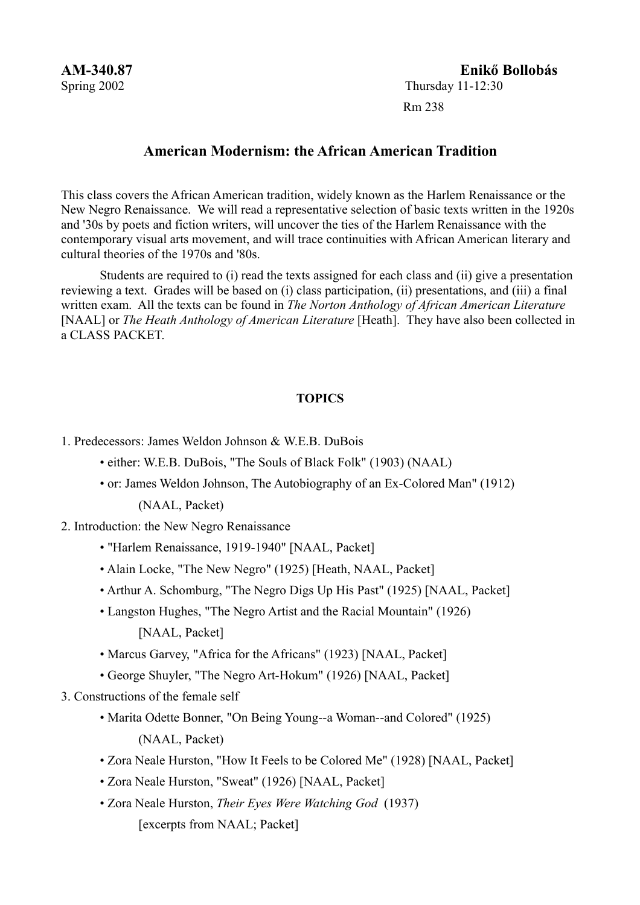# **AM-340.87 Enikő Bollobás** Spring 2002 Thursday 11-12:30

Rm 238

# **American Modernism: the African American Tradition**

This class covers the African American tradition, widely known as the Harlem Renaissance or the New Negro Renaissance. We will read a representative selection of basic texts written in the 1920s and '30s by poets and fiction writers, will uncover the ties of the Harlem Renaissance with the contemporary visual arts movement, and will trace continuities with African American literary and cultural theories of the 1970s and '80s.

Students are required to (i) read the texts assigned for each class and (ii) give a presentation reviewing a text. Grades will be based on (i) class participation, (ii) presentations, and (iii) a final written exam. All the texts can be found in *The Norton Anthology of African American Literature* [NAAL] or *The Heath Anthology of American Literature* [Heath]. They have also been collected in a CLASS PACKET.

## **TOPICS**

- 1. Predecessors: James Weldon Johnson & W.E.B. DuBois
	- either: W.E.B. DuBois, "The Souls of Black Folk" (1903) (NAAL)
	- or: James Weldon Johnson, The Autobiography of an Ex-Colored Man" (1912) (NAAL, Packet)

2. Introduction: the New Negro Renaissance

- "Harlem Renaissance, 1919-1940" [NAAL, Packet]
- Alain Locke, "The New Negro" (1925) [Heath, NAAL, Packet]
- Arthur A. Schomburg, "The Negro Digs Up His Past" (1925) [NAAL, Packet]
- Langston Hughes, "The Negro Artist and the Racial Mountain" (1926)

[NAAL, Packet]

- Marcus Garvey, "Africa for the Africans" (1923) [NAAL, Packet]
- George Shuyler, "The Negro Art-Hokum" (1926) [NAAL, Packet]
- 3. Constructions of the female self
	- Marita Odette Bonner, "On Being Young--a Woman--and Colored" (1925) (NAAL, Packet)
	- Zora Neale Hurston, "How It Feels to be Colored Me" (1928) [NAAL, Packet]
	- Zora Neale Hurston, "Sweat" (1926) [NAAL, Packet]
	- Zora Neale Hurston, *Their Eyes Were Watching God* (1937) [excerpts from NAAL; Packet]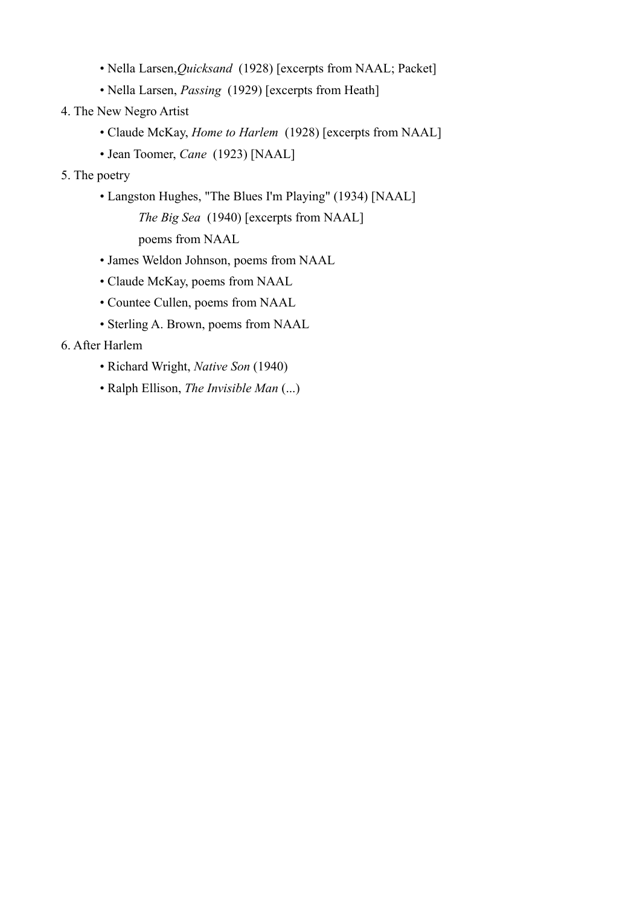- Nella Larsen,*Quicksand* (1928) [excerpts from NAAL; Packet]
- Nella Larsen, *Passing* (1929) [excerpts from Heath]
- 4. The New Negro Artist
	- Claude McKay, *Home to Harlem* (1928) [excerpts from NAAL]
	- Jean Toomer, *Cane* (1923) [NAAL]
- 5. The poetry
	- Langston Hughes, "The Blues I'm Playing" (1934) [NAAL] *The Big Sea* (1940) [excerpts from NAAL] poems from NAAL
	- James Weldon Johnson, poems from NAAL
	-
	- Claude McKay, poems from NAAL
	- Countee Cullen, poems from NAAL
	- Sterling A. Brown, poems from NAAL
- 6. After Harlem
	- Richard Wright, *Native Son* (1940)
	- Ralph Ellison, *The Invisible Man* (...)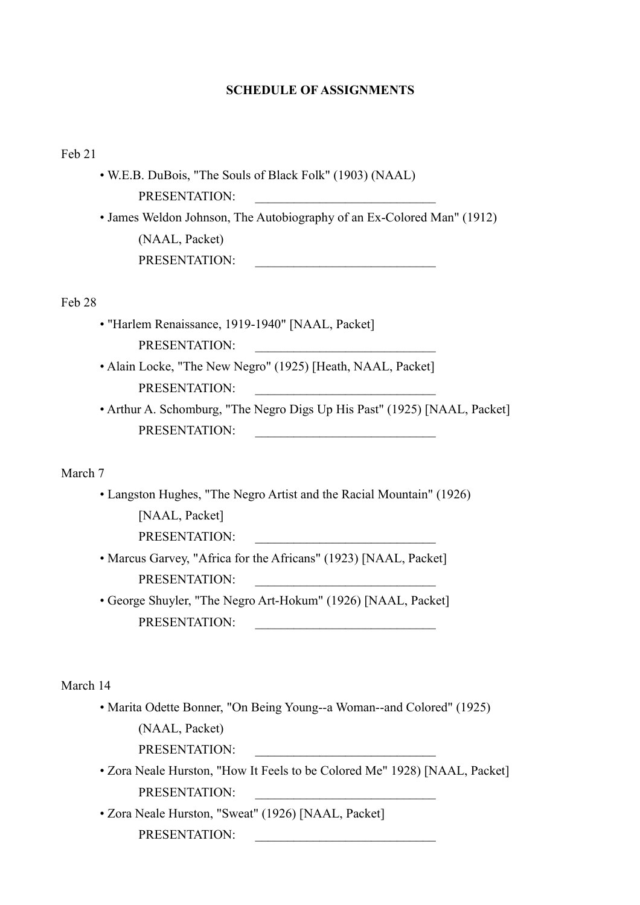#### **SCHEDULE OF ASSIGNMENTS**

Feb 21

 • W.E.B. DuBois, "The Souls of Black Folk" (1903) (NAAL) PRESENTATION· • James Weldon Johnson, The Autobiography of an Ex-Colored Man" (1912) (NAAL, Packet) PRESENTATION:

Feb 28

- "Harlem Renaissance, 1919-1940" [NAAL, Packet] PRESENTATION:
- Alain Locke, "The New Negro" (1925) [Heath, NAAL, Packet] PRESENTATION:
- Arthur A. Schomburg, "The Negro Digs Up His Past" (1925) [NAAL, Packet] PRESENTATION<sup>.</sup>

March 7

 • Langston Hughes, "The Negro Artist and the Racial Mountain" (1926) [NAAL, Packet]

PRESENTATION:

- Marcus Garvey, "Africa for the Africans" (1923) [NAAL, Packet] PRESENTATION·
- George Shuyler, "The Negro Art-Hokum" (1926) [NAAL, Packet] PRESENTATION:

March 14

- Marita Odette Bonner, "On Being Young--a Woman--and Colored" (1925) (NAAL, Packet)
	- PRESENTATION:
- Zora Neale Hurston, "How It Feels to be Colored Me" 1928) [NAAL, Packet] PRESENTATION·
- Zora Neale Hurston, "Sweat" (1926) [NAAL, Packet] PRESENTATION: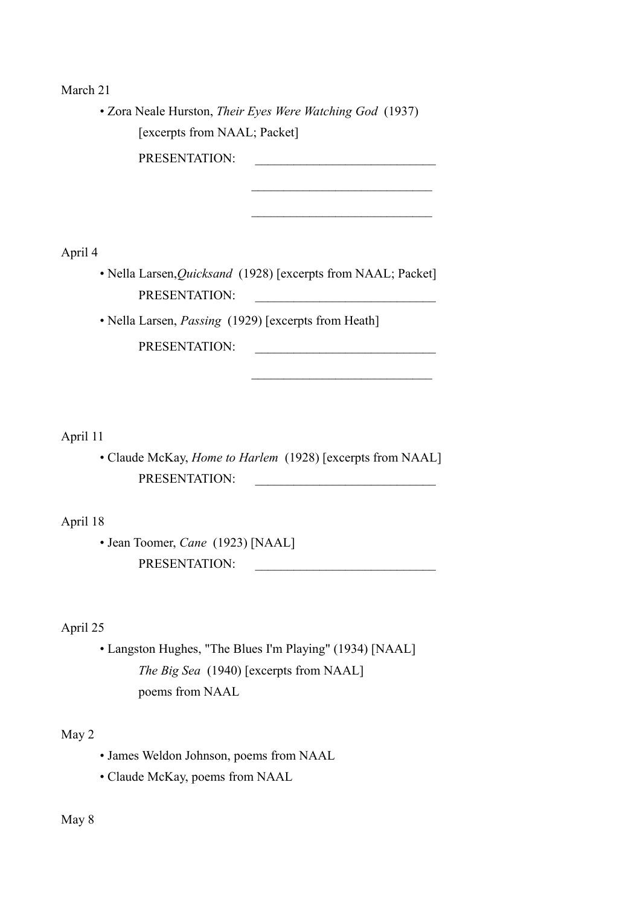March 21

 • Zora Neale Hurston, *Their Eyes Were Watching God* (1937) [excerpts from NAAL; Packet]

PRESENTATION:

April 4

 • Nella Larsen,*Quicksand* (1928) [excerpts from NAAL; Packet] PRESENTATION:

 $\mathcal{L}_\text{max}$ 

 $\mathcal{L}_\text{max}$  , and the set of the set of the set of the set of the set of the set of the set of the set of the set of the set of the set of the set of the set of the set of the set of the set of the set of the set of the

• Nella Larsen, *Passing* (1929) [excerpts from Heath]

PRESENTATION:

April 11

 • Claude McKay, *Home to Harlem* (1928) [excerpts from NAAL] PRESENTATION:

April 18

 • Jean Toomer, *Cane* (1923) [NAAL] PRESENTATION:

April 25

 • Langston Hughes, "The Blues I'm Playing" (1934) [NAAL] *The Big Sea* (1940) [excerpts from NAAL] poems from NAAL

May 2

- James Weldon Johnson, poems from NAAL
- Claude McKay, poems from NAAL

May 8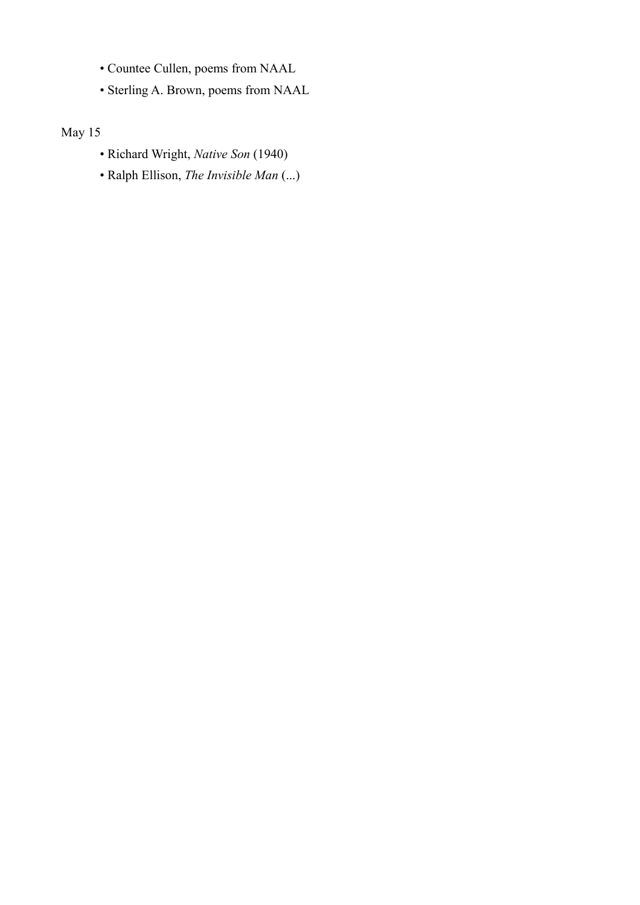- Countee Cullen, poems from NAAL
- Sterling A. Brown, poems from NAAL

May 15

- Richard Wright, *Native Son* (1940)
- Ralph Ellison, *The Invisible Man* (...)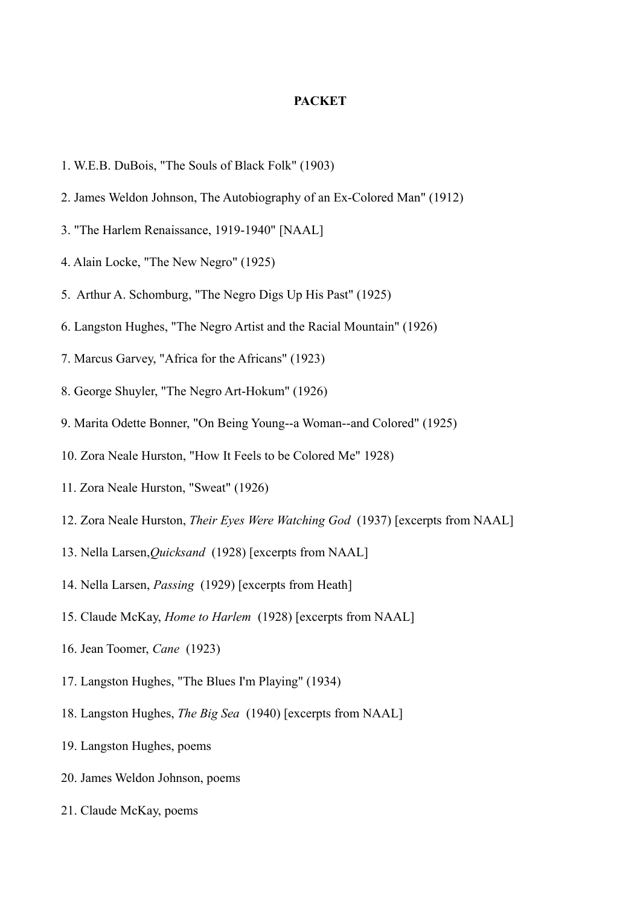### **PACKET**

- 1. W.E.B. DuBois, "The Souls of Black Folk" (1903)
- 2. James Weldon Johnson, The Autobiography of an Ex-Colored Man" (1912)
- 3. "The Harlem Renaissance, 1919-1940" [NAAL]
- 4. Alain Locke, "The New Negro" (1925)
- 5. Arthur A. Schomburg, "The Negro Digs Up His Past" (1925)
- 6. Langston Hughes, "The Negro Artist and the Racial Mountain" (1926)
- 7. Marcus Garvey, "Africa for the Africans" (1923)
- 8. George Shuyler, "The Negro Art-Hokum" (1926)
- 9. Marita Odette Bonner, "On Being Young--a Woman--and Colored" (1925)
- 10. Zora Neale Hurston, "How It Feels to be Colored Me" 1928)
- 11. Zora Neale Hurston, "Sweat" (1926)
- 12. Zora Neale Hurston, *Their Eyes Were Watching God* (1937) [excerpts from NAAL]
- 13. Nella Larsen,*Quicksand* (1928) [excerpts from NAAL]
- 14. Nella Larsen, *Passing* (1929) [excerpts from Heath]
- 15. Claude McKay, *Home to Harlem* (1928) [excerpts from NAAL]
- 16. Jean Toomer, *Cane* (1923)
- 17. Langston Hughes, "The Blues I'm Playing" (1934)
- 18. Langston Hughes, *The Big Sea* (1940) [excerpts from NAAL]
- 19. Langston Hughes, poems
- 20. James Weldon Johnson, poems
- 21. Claude McKay, poems